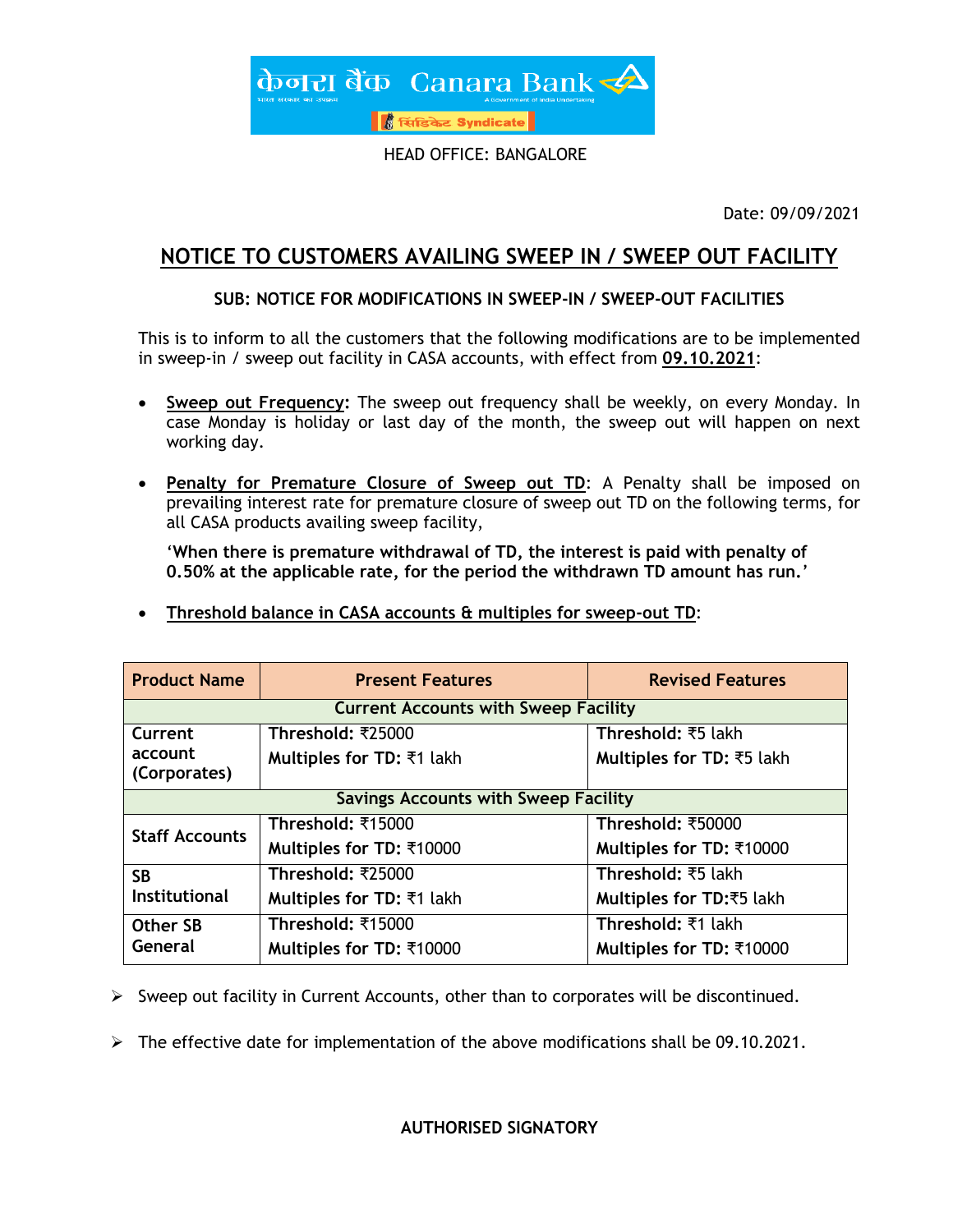

HEAD OFFICE: BANGALORE

Date: 09/09/2021

## **NOTICE TO CUSTOMERS AVAILING SWEEP IN / SWEEP OUT FACILITY**

### **SUB: NOTICE FOR MODIFICATIONS IN SWEEP-IN / SWEEP-OUT FACILITIES**

This is to inform to all the customers that the following modifications are to be implemented in sweep-in / sweep out facility in CASA accounts, with effect from **09.10.2021**:

- **Sweep out Frequency:** The sweep out frequency shall be weekly, on every Monday. In case Monday is holiday or last day of the month, the sweep out will happen on next working day.
- **Penalty for Premature Closure of Sweep out TD**: A Penalty shall be imposed on prevailing interest rate for premature closure of sweep out TD on the following terms, for all CASA products availing sweep facility,

'**When there is premature withdrawal of TD, the interest is paid with penalty of 0.50% at the applicable rate, for the period the withdrawn TD amount has run.**'

**Threshold balance in CASA accounts & multiples for sweep-out TD**:

| <b>Product Name</b>                         | <b>Present Features</b>          | <b>Revised Features</b>   |  |
|---------------------------------------------|----------------------------------|---------------------------|--|
| <b>Current Accounts with Sweep Facility</b> |                                  |                           |  |
| Current                                     | Threshold: ₹25000                | Threshold: ₹5 lakh        |  |
| account<br>(Corporates)                     | Multiples for TD: ₹1 lakh        | Multiples for TD: ₹5 lakh |  |
| <b>Savings Accounts with Sweep Facility</b> |                                  |                           |  |
| <b>Staff Accounts</b>                       | Threshold: ₹15000                | Threshold: ₹50000         |  |
|                                             | Multiples for TD: ₹10000         | Multiples for TD: ₹10000  |  |
| <b>SB</b><br><b>Institutional</b>           | Threshold: ₹25000                | Threshold: ₹5 lakh        |  |
|                                             | <b>Multiples for TD: ₹1 lakh</b> | Multiples for TD:₹5 lakh  |  |
| <b>Other SB</b><br>General                  | Threshold: ₹15000                | Threshold: ₹1 lakh        |  |
|                                             | Multiples for TD: ₹10000         | Multiples for TD: ₹10000  |  |

 $\triangleright$  Sweep out facility in Current Accounts, other than to corporates will be discontinued.

 $\triangleright$  The effective date for implementation of the above modifications shall be 09.10.2021.

#### **AUTHORISED SIGNATORY**